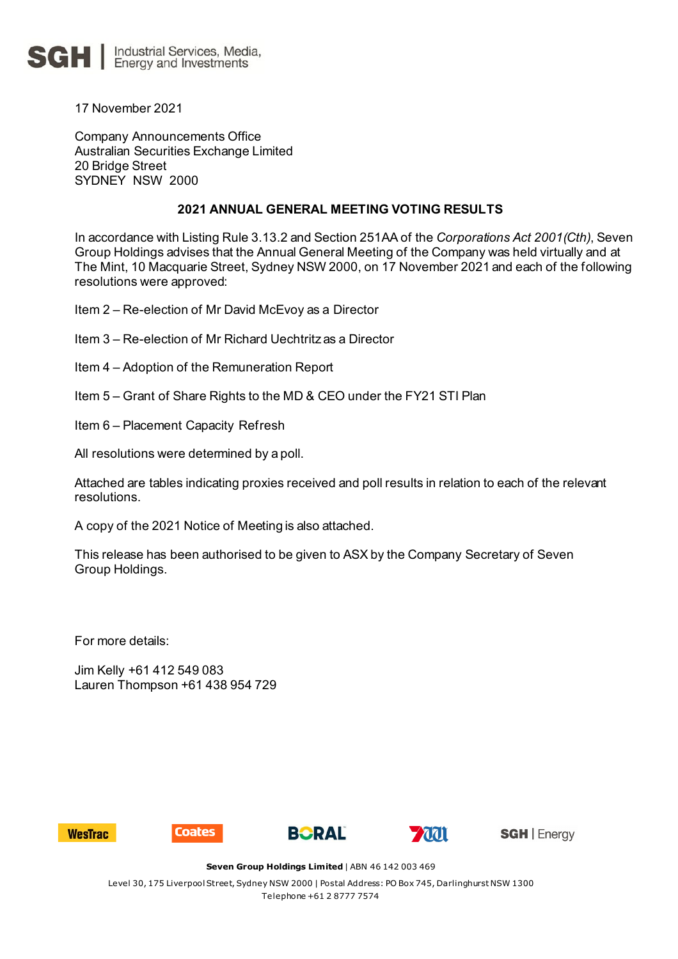

17 November 2021

Company Announcements Office Australian Securities Exchange Limited 20 Bridge Street SYDNEY NSW 2000

## **2021 ANNUAL GENERAL MEETING VOTING RESULTS**

In accordance with Listing Rule 3.13.2 and Section 251AA of the *Corporations Act 2001(Cth)*, Seven Group Holdings advises that the Annual General Meeting of the Company was held virtually and at The Mint, 10 Macquarie Street, Sydney NSW 2000, on 17 November 2021 and each of the following resolutions were approved:

Item 2 – Re-election of Mr David McEvoy as a Director

- Item 3 Re-election of Mr Richard Uechtritz as a Director
- Item 4 Adoption of the Remuneration Report
- Item 5 Grant of Share Rights to the MD & CEO under the FY21 STI Plan
- Item 6 Placement Capacity Refresh

All resolutions were determined by a poll.

Attached are tables indicating proxies received and poll results in relation to each of the relevant resolutions.

A copy of the 2021 Notice of Meeting is also attached.

This release has been authorised to be given to ASX by the Company Secretary of Seven Group Holdings.

For more details:

Jim Kelly +61 412 549 083 Lauren Thompson +61 438 954 729









**SGH** | Energy

**Seven Group Holdings Limited** | ABN 46 142 003 469

Level 30, 175 Liverpool Street, Sydney NSW 2000 | Postal Address: PO Box 745, Darlinghurst NSW 1300 Telephone +61 2 8777 7574